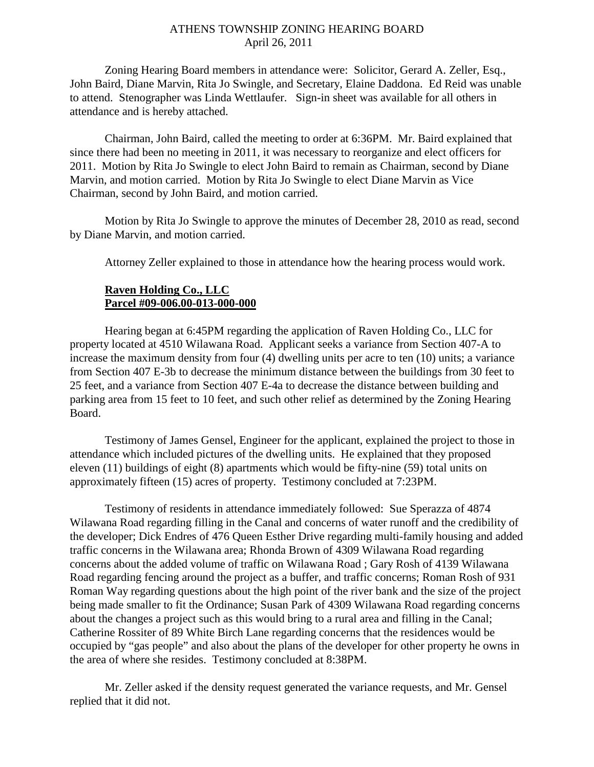### ATHENS TOWNSHIP ZONING HEARING BOARD April 26, 2011

Zoning Hearing Board members in attendance were: Solicitor, Gerard A. Zeller, Esq., John Baird, Diane Marvin, Rita Jo Swingle, and Secretary, Elaine Daddona. Ed Reid was unable to attend. Stenographer was Linda Wettlaufer. Sign-in sheet was available for all others in attendance and is hereby attached.

Chairman, John Baird, called the meeting to order at 6:36PM. Mr. Baird explained that since there had been no meeting in 2011, it was necessary to reorganize and elect officers for 2011. Motion by Rita Jo Swingle to elect John Baird to remain as Chairman, second by Diane Marvin, and motion carried. Motion by Rita Jo Swingle to elect Diane Marvin as Vice Chairman, second by John Baird, and motion carried.

Motion by Rita Jo Swingle to approve the minutes of December 28, 2010 as read, second by Diane Marvin, and motion carried.

Attorney Zeller explained to those in attendance how the hearing process would work.

### **Raven Holding Co., LLC Parcel #09-006.00-013-000-000**

 Hearing began at 6:45PM regarding the application of Raven Holding Co., LLC for property located at 4510 Wilawana Road. Applicant seeks a variance from Section 407-A to increase the maximum density from four (4) dwelling units per acre to ten (10) units; a variance from Section 407 E-3b to decrease the minimum distance between the buildings from 30 feet to 25 feet, and a variance from Section 407 E-4a to decrease the distance between building and parking area from 15 feet to 10 feet, and such other relief as determined by the Zoning Hearing Board.

 Testimony of James Gensel, Engineer for the applicant, explained the project to those in attendance which included pictures of the dwelling units. He explained that they proposed eleven (11) buildings of eight (8) apartments which would be fifty-nine (59) total units on approximately fifteen (15) acres of property. Testimony concluded at 7:23PM.

 Testimony of residents in attendance immediately followed: Sue Sperazza of 4874 Wilawana Road regarding filling in the Canal and concerns of water runoff and the credibility of the developer; Dick Endres of 476 Queen Esther Drive regarding multi-family housing and added traffic concerns in the Wilawana area; Rhonda Brown of 4309 Wilawana Road regarding concerns about the added volume of traffic on Wilawana Road ; Gary Rosh of 4139 Wilawana Road regarding fencing around the project as a buffer, and traffic concerns; Roman Rosh of 931 Roman Way regarding questions about the high point of the river bank and the size of the project being made smaller to fit the Ordinance; Susan Park of 4309 Wilawana Road regarding concerns about the changes a project such as this would bring to a rural area and filling in the Canal; Catherine Rossiter of 89 White Birch Lane regarding concerns that the residences would be occupied by "gas people" and also about the plans of the developer for other property he owns in the area of where she resides. Testimony concluded at 8:38PM.

 Mr. Zeller asked if the density request generated the variance requests, and Mr. Gensel replied that it did not.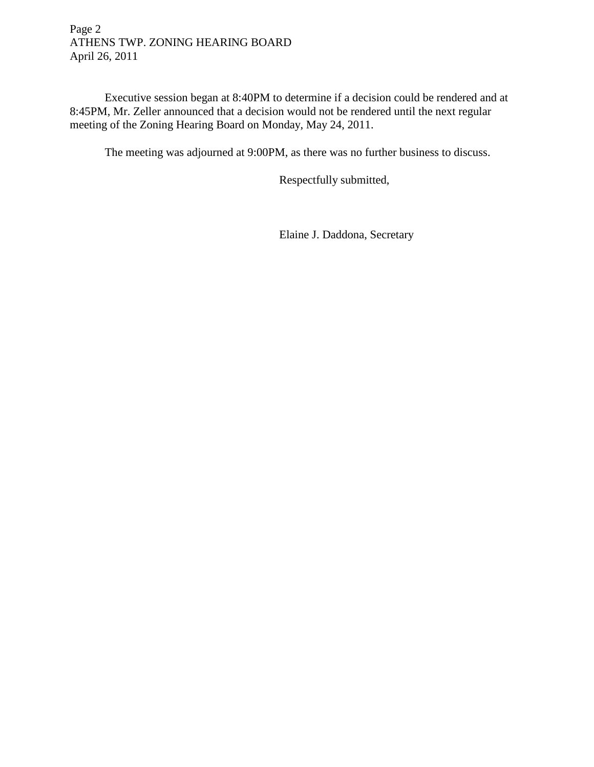Page 2 ATHENS TWP. ZONING HEARING BOARD April 26, 2011

 Executive session began at 8:40PM to determine if a decision could be rendered and at 8:45PM, Mr. Zeller announced that a decision would not be rendered until the next regular meeting of the Zoning Hearing Board on Monday, May 24, 2011.

The meeting was adjourned at 9:00PM, as there was no further business to discuss.

Respectfully submitted,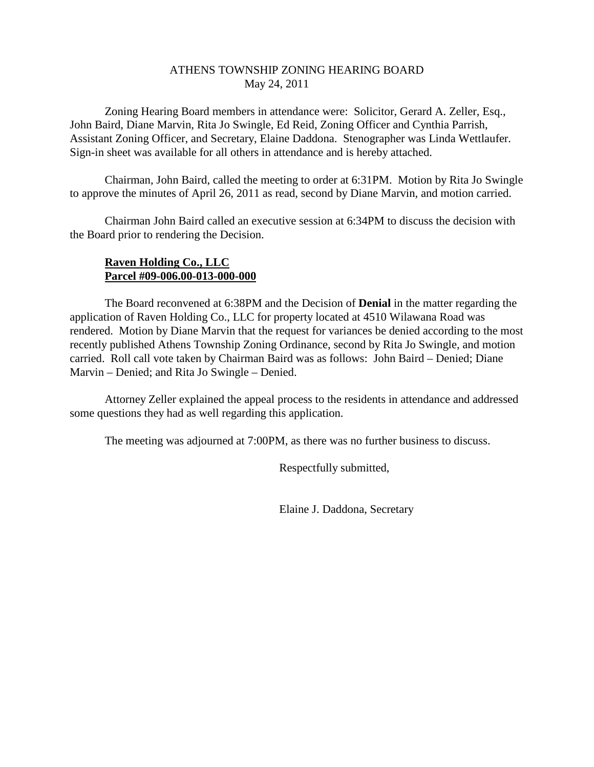### ATHENS TOWNSHIP ZONING HEARING BOARD May 24, 2011

Zoning Hearing Board members in attendance were: Solicitor, Gerard A. Zeller, Esq., John Baird, Diane Marvin, Rita Jo Swingle, Ed Reid, Zoning Officer and Cynthia Parrish, Assistant Zoning Officer, and Secretary, Elaine Daddona. Stenographer was Linda Wettlaufer. Sign-in sheet was available for all others in attendance and is hereby attached.

Chairman, John Baird, called the meeting to order at 6:31PM. Motion by Rita Jo Swingle to approve the minutes of April 26, 2011 as read, second by Diane Marvin, and motion carried.

Chairman John Baird called an executive session at 6:34PM to discuss the decision with the Board prior to rendering the Decision.

# **Raven Holding Co., LLC Parcel #09-006.00-013-000-000**

 The Board reconvened at 6:38PM and the Decision of **Denial** in the matter regarding the application of Raven Holding Co., LLC for property located at 4510 Wilawana Road was rendered. Motion by Diane Marvin that the request for variances be denied according to the most recently published Athens Township Zoning Ordinance, second by Rita Jo Swingle, and motion carried. Roll call vote taken by Chairman Baird was as follows: John Baird – Denied; Diane Marvin – Denied; and Rita Jo Swingle – Denied.

 Attorney Zeller explained the appeal process to the residents in attendance and addressed some questions they had as well regarding this application.

The meeting was adjourned at 7:00PM, as there was no further business to discuss.

Respectfully submitted,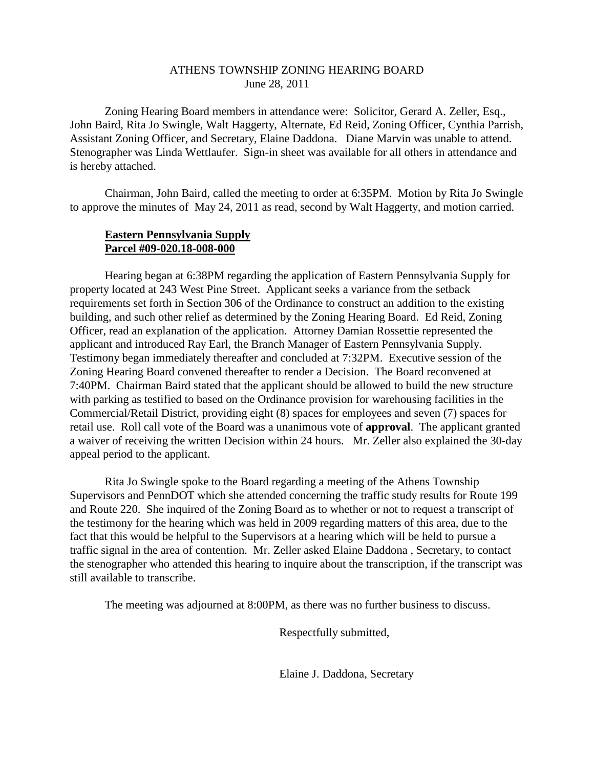### ATHENS TOWNSHIP ZONING HEARING BOARD June 28, 2011

Zoning Hearing Board members in attendance were: Solicitor, Gerard A. Zeller, Esq., John Baird, Rita Jo Swingle, Walt Haggerty, Alternate, Ed Reid, Zoning Officer, Cynthia Parrish, Assistant Zoning Officer, and Secretary, Elaine Daddona. Diane Marvin was unable to attend. Stenographer was Linda Wettlaufer. Sign-in sheet was available for all others in attendance and is hereby attached.

Chairman, John Baird, called the meeting to order at 6:35PM. Motion by Rita Jo Swingle to approve the minutes of May 24, 2011 as read, second by Walt Haggerty, and motion carried.

# **Eastern Pennsylvania Supply Parcel #09-020.18-008-000**

 Hearing began at 6:38PM regarding the application of Eastern Pennsylvania Supply for property located at 243 West Pine Street. Applicant seeks a variance from the setback requirements set forth in Section 306 of the Ordinance to construct an addition to the existing building, and such other relief as determined by the Zoning Hearing Board. Ed Reid, Zoning Officer, read an explanation of the application. Attorney Damian Rossettie represented the applicant and introduced Ray Earl, the Branch Manager of Eastern Pennsylvania Supply. Testimony began immediately thereafter and concluded at 7:32PM. Executive session of the Zoning Hearing Board convened thereafter to render a Decision. The Board reconvened at 7:40PM. Chairman Baird stated that the applicant should be allowed to build the new structure with parking as testified to based on the Ordinance provision for warehousing facilities in the Commercial/Retail District, providing eight (8) spaces for employees and seven (7) spaces for retail use. Roll call vote of the Board was a unanimous vote of **approval**. The applicant granted a waiver of receiving the written Decision within 24 hours. Mr. Zeller also explained the 30-day appeal period to the applicant.

 Rita Jo Swingle spoke to the Board regarding a meeting of the Athens Township Supervisors and PennDOT which she attended concerning the traffic study results for Route 199 and Route 220. She inquired of the Zoning Board as to whether or not to request a transcript of the testimony for the hearing which was held in 2009 regarding matters of this area, due to the fact that this would be helpful to the Supervisors at a hearing which will be held to pursue a traffic signal in the area of contention. Mr. Zeller asked Elaine Daddona , Secretary, to contact the stenographer who attended this hearing to inquire about the transcription, if the transcript was still available to transcribe.

The meeting was adjourned at 8:00PM, as there was no further business to discuss.

Respectfully submitted,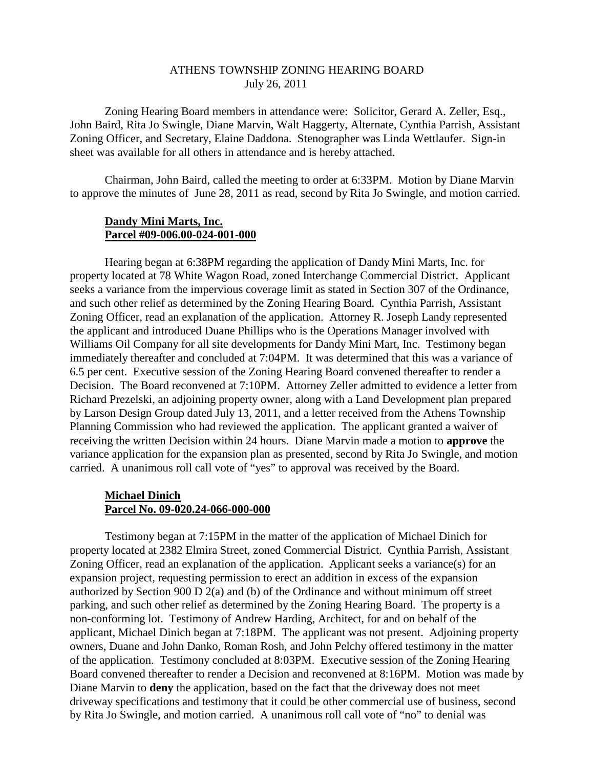### ATHENS TOWNSHIP ZONING HEARING BOARD July 26, 2011

Zoning Hearing Board members in attendance were: Solicitor, Gerard A. Zeller, Esq., John Baird, Rita Jo Swingle, Diane Marvin, Walt Haggerty, Alternate, Cynthia Parrish, Assistant Zoning Officer, and Secretary, Elaine Daddona. Stenographer was Linda Wettlaufer. Sign-in sheet was available for all others in attendance and is hereby attached.

Chairman, John Baird, called the meeting to order at 6:33PM. Motion by Diane Marvin to approve the minutes of June 28, 2011 as read, second by Rita Jo Swingle, and motion carried.

#### **Dandy Mini Marts, Inc. Parcel #09-006.00-024-001-000**

 Hearing began at 6:38PM regarding the application of Dandy Mini Marts, Inc. for property located at 78 White Wagon Road, zoned Interchange Commercial District. Applicant seeks a variance from the impervious coverage limit as stated in Section 307 of the Ordinance, and such other relief as determined by the Zoning Hearing Board. Cynthia Parrish, Assistant Zoning Officer, read an explanation of the application. Attorney R. Joseph Landy represented the applicant and introduced Duane Phillips who is the Operations Manager involved with Williams Oil Company for all site developments for Dandy Mini Mart, Inc. Testimony began immediately thereafter and concluded at 7:04PM. It was determined that this was a variance of 6.5 per cent. Executive session of the Zoning Hearing Board convened thereafter to render a Decision. The Board reconvened at 7:10PM. Attorney Zeller admitted to evidence a letter from Richard Prezelski, an adjoining property owner, along with a Land Development plan prepared by Larson Design Group dated July 13, 2011, and a letter received from the Athens Township Planning Commission who had reviewed the application. The applicant granted a waiver of receiving the written Decision within 24 hours. Diane Marvin made a motion to **approve** the variance application for the expansion plan as presented, second by Rita Jo Swingle, and motion carried. A unanimous roll call vote of "yes" to approval was received by the Board.

#### **Michael Dinich Parcel No. 09-020.24-066-000-000**

 Testimony began at 7:15PM in the matter of the application of Michael Dinich for property located at 2382 Elmira Street, zoned Commercial District. Cynthia Parrish, Assistant Zoning Officer, read an explanation of the application. Applicant seeks a variance(s) for an expansion project, requesting permission to erect an addition in excess of the expansion authorized by Section 900 D 2(a) and (b) of the Ordinance and without minimum off street parking, and such other relief as determined by the Zoning Hearing Board. The property is a non-conforming lot. Testimony of Andrew Harding, Architect, for and on behalf of the applicant, Michael Dinich began at 7:18PM. The applicant was not present. Adjoining property owners, Duane and John Danko, Roman Rosh, and John Pelchy offered testimony in the matter of the application. Testimony concluded at 8:03PM. Executive session of the Zoning Hearing Board convened thereafter to render a Decision and reconvened at 8:16PM. Motion was made by Diane Marvin to **deny** the application, based on the fact that the driveway does not meet driveway specifications and testimony that it could be other commercial use of business, second by Rita Jo Swingle, and motion carried. A unanimous roll call vote of "no" to denial was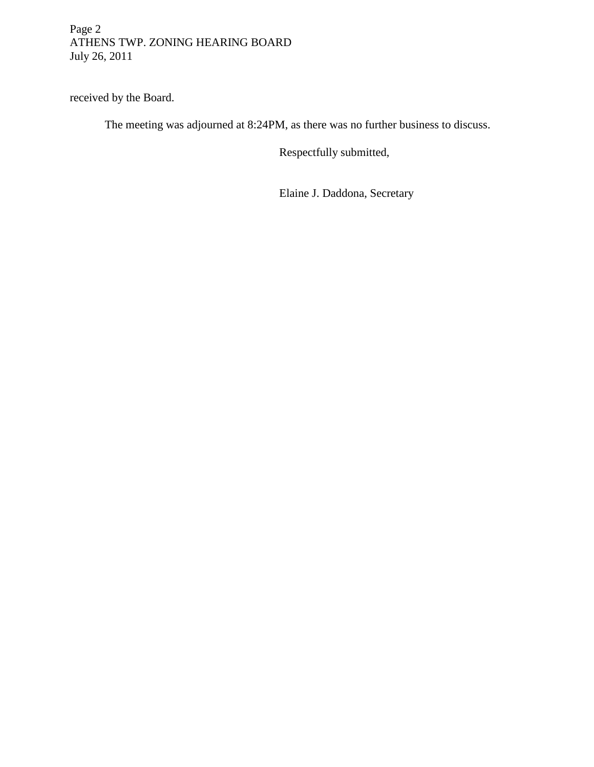# Page 2 ATHENS TWP. ZONING HEARING BOARD July 26, 2011

received by the Board.

The meeting was adjourned at 8:24PM, as there was no further business to discuss.

Respectfully submitted,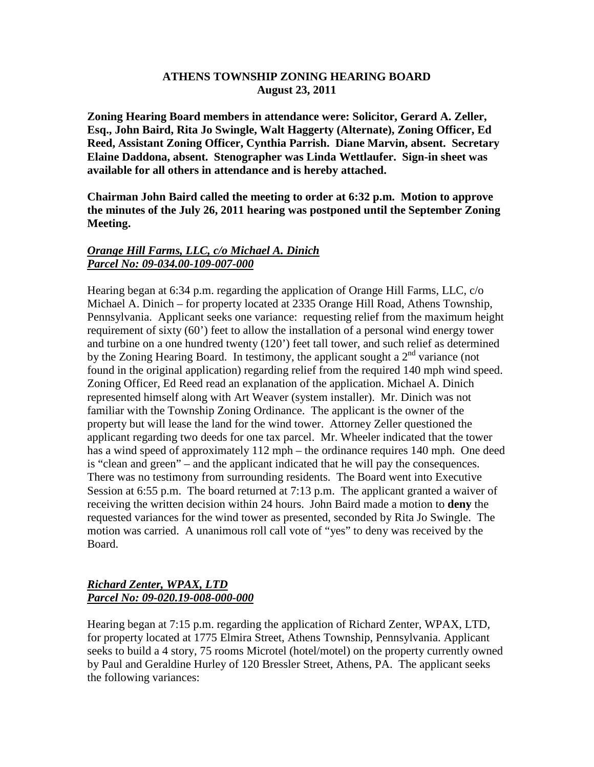### **ATHENS TOWNSHIP ZONING HEARING BOARD August 23, 2011**

**Zoning Hearing Board members in attendance were: Solicitor, Gerard A. Zeller, Esq., John Baird, Rita Jo Swingle, Walt Haggerty (Alternate), Zoning Officer, Ed Reed, Assistant Zoning Officer, Cynthia Parrish. Diane Marvin, absent. Secretary Elaine Daddona, absent. Stenographer was Linda Wettlaufer. Sign-in sheet was available for all others in attendance and is hereby attached.** 

**Chairman John Baird called the meeting to order at 6:32 p.m. Motion to approve the minutes of the July 26, 2011 hearing was postponed until the September Zoning Meeting.** 

# *Orange Hill Farms, LLC, c/o Michael A. Dinich Parcel No: 09-034.00-109-007-000*

Hearing began at 6:34 p.m. regarding the application of Orange Hill Farms, LLC, c/o Michael A. Dinich – for property located at 2335 Orange Hill Road, Athens Township, Pennsylvania. Applicant seeks one variance: requesting relief from the maximum height requirement of sixty (60') feet to allow the installation of a personal wind energy tower and turbine on a one hundred twenty (120') feet tall tower, and such relief as determined by the Zoning Hearing Board. In testimony, the applicant sought a  $2<sup>nd</sup>$  variance (not found in the original application) regarding relief from the required 140 mph wind speed. Zoning Officer, Ed Reed read an explanation of the application. Michael A. Dinich represented himself along with Art Weaver (system installer). Mr. Dinich was not familiar with the Township Zoning Ordinance. The applicant is the owner of the property but will lease the land for the wind tower. Attorney Zeller questioned the applicant regarding two deeds for one tax parcel. Mr. Wheeler indicated that the tower has a wind speed of approximately 112 mph – the ordinance requires 140 mph. One deed is "clean and green" – and the applicant indicated that he will pay the consequences. There was no testimony from surrounding residents. The Board went into Executive Session at 6:55 p.m. The board returned at 7:13 p.m. The applicant granted a waiver of receiving the written decision within 24 hours. John Baird made a motion to **deny** the requested variances for the wind tower as presented, seconded by Rita Jo Swingle. The motion was carried. A unanimous roll call vote of "yes" to deny was received by the Board.

### *Richard Zenter, WPAX, LTD Parcel No: 09-020.19-008-000-000*

Hearing began at 7:15 p.m. regarding the application of Richard Zenter, WPAX, LTD, for property located at 1775 Elmira Street, Athens Township, Pennsylvania. Applicant seeks to build a 4 story, 75 rooms Microtel (hotel/motel) on the property currently owned by Paul and Geraldine Hurley of 120 Bressler Street, Athens, PA. The applicant seeks the following variances: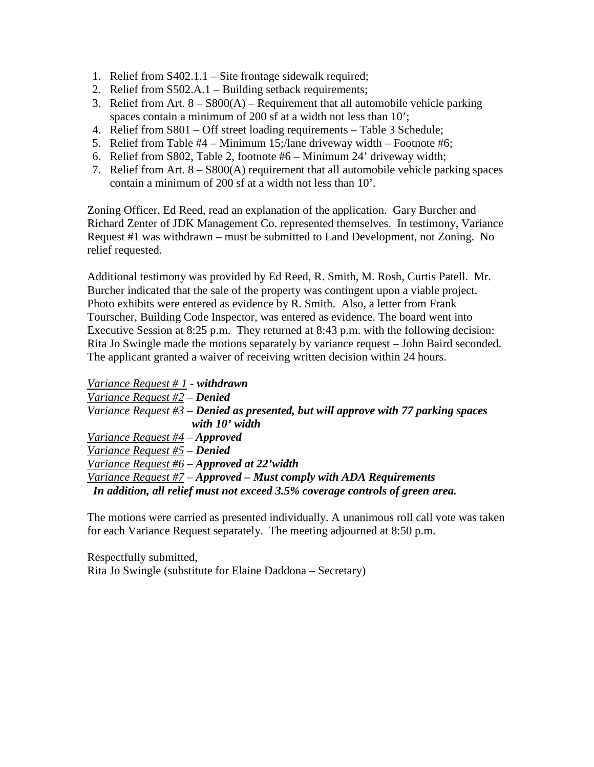- 1. Relief from S402.1.1 Site frontage sidewalk required;
- 2. Relief from S502.A.1 Building setback requirements;
- 3. Relief from Art.  $8 S800(A)$  Requirement that all automobile vehicle parking spaces contain a minimum of 200 sf at a width not less than 10';
- 4. Relief from S801 Off street loading requirements Table 3 Schedule;
- 5. Relief from Table #4 Minimum 15;/lane driveway width Footnote #6;
- 6. Relief from S802, Table 2, footnote #6 Minimum 24' driveway width;
- 7. Relief from Art. 8 S800(A) requirement that all automobile vehicle parking spaces contain a minimum of 200 sf at a width not less than 10'.

Zoning Officer, Ed Reed, read an explanation of the application. Gary Burcher and Richard Zenter of JDK Management Co. represented themselves. In testimony, Variance Request #1 was withdrawn – must be submitted to Land Development, not Zoning. No relief requested.

Additional testimony was provided by Ed Reed, R. Smith, M. Rosh, Curtis Patell. Mr. Burcher indicated that the sale of the property was contingent upon a viable project. Photo exhibits were entered as evidence by R. Smith. Also, a letter from Frank Tourscher, Building Code Inspector, was entered as evidence. The board went into Executive Session at 8:25 p.m. They returned at 8:43 p.m. with the following decision: Rita Jo Swingle made the motions separately by variance request – John Baird seconded. The applicant granted a waiver of receiving written decision within 24 hours.

*Variance Request # 1 - withdrawn Variance Request #2 – Denied Variance Request #3 – Denied as presented, but will approve with 77 parking spaces with 10' width Variance Request #4 – Approved Variance Request #5 – Denied Variance Request #6 – Approved at 22'width Variance Request #7 – Approved – Must comply with ADA Requirements In addition, all relief must not exceed 3.5% coverage controls of green area.* 

The motions were carried as presented individually. A unanimous roll call vote was taken for each Variance Request separately. The meeting adjourned at 8:50 p.m.

Respectfully submitted, Rita Jo Swingle (substitute for Elaine Daddona – Secretary)